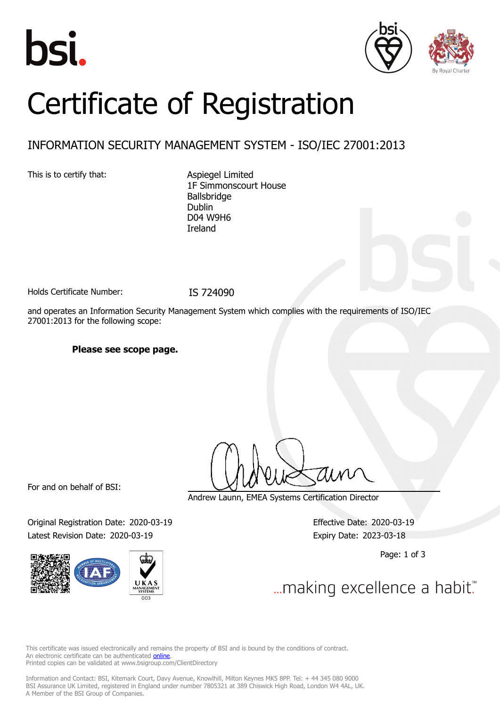





# Certificate of Registration

### INFORMATION SECURITY MANAGEMENT SYSTEM - ISO/IEC 27001:2013

This is to certify that: Aspiegel Limited

1F Simmonscourt House Ballsbridge Dublin D04 W9H6 Ireland

Holds Certificate Number: IS 724090

and operates an Information Security Management System which complies with the requirements of ISO/IEC 27001:2013 for the following scope:

### **Please see scope page.**

For and on behalf of BSI:

Original Registration Date: 2020-03-19 Effective Date: 2020-03-19 Latest Revision Date: 2020-03-19 Expiry Date: 2023-03-18



Andrew Launn, EMEA Systems Certification Director

Page: 1 of 3

... making excellence a habit."

This certificate was issued electronically and remains the property of BSI and is bound by the conditions of contract. An electronic certificate can be authenticated **[online](https://pgplus.bsigroup.com/CertificateValidation/CertificateValidator.aspx?CertificateNumber=IS+724090&ReIssueDate=19%2f03%2f2020&Template=uk)**. Printed copies can be validated at www.bsigroup.com/ClientDirectory

Information and Contact: BSI, Kitemark Court, Davy Avenue, Knowlhill, Milton Keynes MK5 8PP. Tel: + 44 345 080 9000 BSI Assurance UK Limited, registered in England under number 7805321 at 389 Chiswick High Road, London W4 4AL, UK. A Member of the BSI Group of Companies.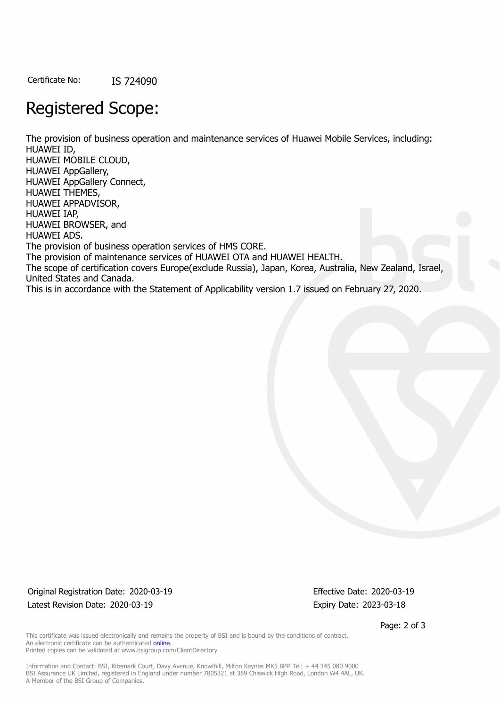Certificate No: IS 724090

## Registered Scope:

The provision of business operation and maintenance services of Huawei Mobile Services, including: HUAWEI ID, HUAWEI MOBILE CLOUD, HUAWEI AppGallery, HUAWEI AppGallery Connect, HUAWEI THEMES, HUAWEI APPADVISOR, HUAWEI IAP, HUAWEI BROWSER, and HUAWEI ADS. The provision of business operation services of HMS CORE. The provision of maintenance services of HUAWEI OTA and HUAWEI HEALTH. The scope of certification covers Europe(exclude Russia), Japan, Korea, Australia, New Zealand, Israel, United States and Canada. This is in accordance with the Statement of Applicability version 1.7 issued on February 27, 2020.

Original Registration Date: 2020-03-19 Effective Date: 2020-03-19 Latest Revision Date: 2020-03-19 Expiry Date: 2023-03-18

Page: 2 of 3

This certificate was issued electronically and remains the property of BSI and is bound by the conditions of contract. An electronic certificate can be authenticated **[online](https://pgplus.bsigroup.com/CertificateValidation/CertificateValidator.aspx?CertificateNumber=IS+724090&ReIssueDate=19%2f03%2f2020&Template=uk)**. Printed copies can be validated at www.bsigroup.com/ClientDirectory

Information and Contact: BSI, Kitemark Court, Davy Avenue, Knowlhill, Milton Keynes MK5 8PP. Tel: + 44 345 080 9000 BSI Assurance UK Limited, registered in England under number 7805321 at 389 Chiswick High Road, London W4 4AL, UK. A Member of the BSI Group of Companies.